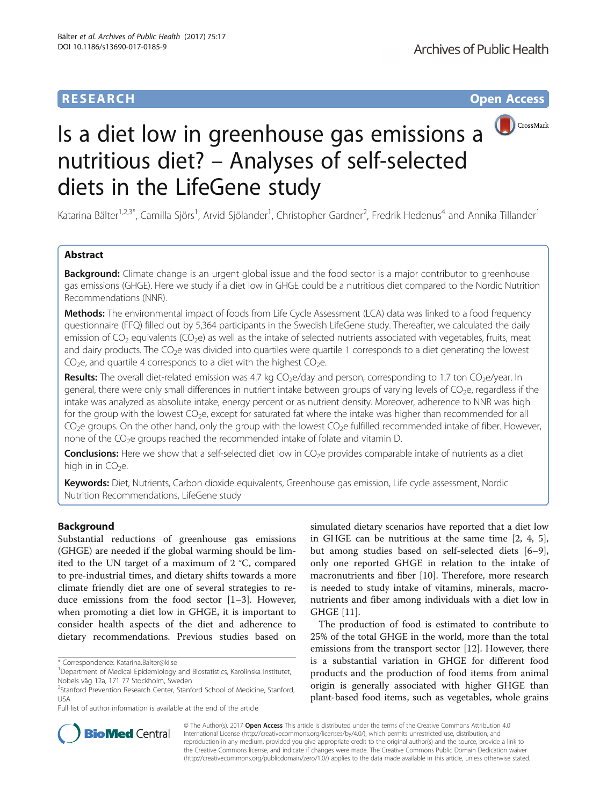# **RESEARCH RESEARCH** *CHECKER CHECKER CHECKER CHECKER CHECKER CHECKER CHECKER CHECKER CHECKER CHECKER CHECKER*



# Is a diet low in greenhouse gas emissions a nutritious diet? – Analyses of self-selected diets in the LifeGene study

Katarina Bälter<sup>1,2,3\*</sup>, Camilla Sjörs<sup>1</sup>, Arvid Sjölander<sup>1</sup>, Christopher Gardner<sup>2</sup>, Fredrik Hedenus<sup>4</sup> and Annika Tillander<sup>1</sup>

## Abstract

Background: Climate change is an urgent global issue and the food sector is a major contributor to greenhouse gas emissions (GHGE). Here we study if a diet low in GHGE could be a nutritious diet compared to the Nordic Nutrition Recommendations (NNR).

Methods: The environmental impact of foods from Life Cycle Assessment (LCA) data was linked to a food frequency questionnaire (FFQ) filled out by 5,364 participants in the Swedish LifeGene study. Thereafter, we calculated the daily emission of  $CO<sub>2</sub>$  equivalents ( $CO<sub>2</sub>e$ ) as well as the intake of selected nutrients associated with vegetables, fruits, meat and dairy products. The CO<sub>2</sub>e was divided into quartiles were quartile 1 corresponds to a diet generating the lowest  $CO<sub>2</sub>e$ , and quartile 4 corresponds to a diet with the highest  $CO<sub>2</sub>e$ .

Results: The overall diet-related emission was 4.7 kg  $CO<sub>2</sub>e/day$  and person, corresponding to 1.7 ton  $CO<sub>2</sub>e/year$ . In general, there were only small differences in nutrient intake between groups of varying levels of  $CO<sub>2</sub>e$ , regardless if the intake was analyzed as absolute intake, energy percent or as nutrient density. Moreover, adherence to NNR was high for the group with the lowest  $CO<sub>2</sub>e$ , except for saturated fat where the intake was higher than recommended for all CO<sub>2</sub>e groups. On the other hand, only the group with the lowest CO<sub>2</sub>e fulfilled recommended intake of fiber. However, none of the  $CO<sub>2</sub>e$  groups reached the recommended intake of folate and vitamin D.

Conclusions: Here we show that a self-selected diet low in CO<sub>2</sub>e provides comparable intake of nutrients as a diet high in in  $CO<sub>2</sub>e$ .

Keywords: Diet, Nutrients, Carbon dioxide equivalents, Greenhouse gas emission, Life cycle assessment, Nordic Nutrition Recommendations, LifeGene study

## Background

Substantial reductions of greenhouse gas emissions (GHGE) are needed if the global warming should be limited to the UN target of a maximum of 2 °C, compared to pre-industrial times, and dietary shifts towards a more climate friendly diet are one of several strategies to reduce emissions from the food sector [\[1](#page-7-0)–[3\]](#page-7-0). However, when promoting a diet low in GHGE, it is important to consider health aspects of the diet and adherence to dietary recommendations. Previous studies based on

Full list of author information is available at the end of the article

simulated dietary scenarios have reported that a diet low in GHGE can be nutritious at the same time [[2, 4, 5](#page-7-0)], but among studies based on self-selected diets [\[6](#page-7-0)–[9](#page-8-0)], only one reported GHGE in relation to the intake of macronutrients and fiber [[10\]](#page-8-0). Therefore, more research is needed to study intake of vitamins, minerals, macronutrients and fiber among individuals with a diet low in GHGE [\[11](#page-8-0)].

The production of food is estimated to contribute to 25% of the total GHGE in the world, more than the total emissions from the transport sector [\[12\]](#page-8-0). However, there is a substantial variation in GHGE for different food products and the production of food items from animal origin is generally associated with higher GHGE than plant-based food items, such as vegetables, whole grains



© The Author(s). 2017 **Open Access** This article is distributed under the terms of the Creative Commons Attribution 4.0 International License [\(http://creativecommons.org/licenses/by/4.0/](http://creativecommons.org/licenses/by/4.0/)), which permits unrestricted use, distribution, and reproduction in any medium, provided you give appropriate credit to the original author(s) and the source, provide a link to the Creative Commons license, and indicate if changes were made. The Creative Commons Public Domain Dedication waiver [\(http://creativecommons.org/publicdomain/zero/1.0/](http://creativecommons.org/publicdomain/zero/1.0/)) applies to the data made available in this article, unless otherwise stated.

<sup>\*</sup> Correspondence: [Katarina.Balter@ki.se](mailto:Katarina.Balter@ki.se) <sup>1</sup>

Department of Medical Epidemiology and Biostatistics, Karolinska Institutet, Nobels väg 12a, 171 77 Stockholm, Sweden

<sup>&</sup>lt;sup>2</sup>Stanford Prevention Research Center, Stanford School of Medicine, Stanford, USA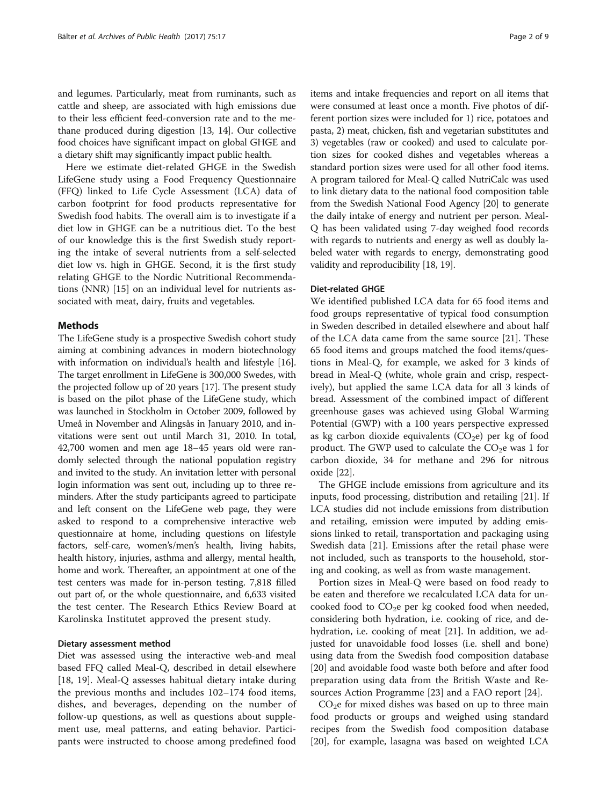and legumes. Particularly, meat from ruminants, such as cattle and sheep, are associated with high emissions due to their less efficient feed-conversion rate and to the methane produced during digestion [\[13, 14\]](#page-8-0). Our collective food choices have significant impact on global GHGE and a dietary shift may significantly impact public health.

Here we estimate diet-related GHGE in the Swedish LifeGene study using a Food Frequency Questionnaire (FFQ) linked to Life Cycle Assessment (LCA) data of carbon footprint for food products representative for Swedish food habits. The overall aim is to investigate if a diet low in GHGE can be a nutritious diet. To the best of our knowledge this is the first Swedish study reporting the intake of several nutrients from a self-selected diet low vs. high in GHGE. Second, it is the first study relating GHGE to the Nordic Nutritional Recommendations (NNR) [[15\]](#page-8-0) on an individual level for nutrients associated with meat, dairy, fruits and vegetables.

## Methods

The LifeGene study is a prospective Swedish cohort study aiming at combining advances in modern biotechnology with information on individual's health and lifestyle [[16](#page-8-0)]. The target enrollment in LifeGene is 300,000 Swedes, with the projected follow up of 20 years [[17\]](#page-8-0). The present study is based on the pilot phase of the LifeGene study, which was launched in Stockholm in October 2009, followed by Umeå in November and Alingsås in January 2010, and invitations were sent out until March 31, 2010. In total, 42,700 women and men age 18–45 years old were randomly selected through the national population registry and invited to the study. An invitation letter with personal login information was sent out, including up to three reminders. After the study participants agreed to participate and left consent on the LifeGene web page, they were asked to respond to a comprehensive interactive web questionnaire at home, including questions on lifestyle factors, self-care, women's/men's health, living habits, health history, injuries, asthma and allergy, mental health, home and work. Thereafter, an appointment at one of the test centers was made for in-person testing. 7,818 filled out part of, or the whole questionnaire, and 6,633 visited the test center. The Research Ethics Review Board at Karolinska Institutet approved the present study.

## Dietary assessment method

Diet was assessed using the interactive web-and meal based FFQ called Meal-Q, described in detail elsewhere [[18, 19\]](#page-8-0). Meal-Q assesses habitual dietary intake during the previous months and includes 102–174 food items, dishes, and beverages, depending on the number of follow-up questions, as well as questions about supplement use, meal patterns, and eating behavior. Participants were instructed to choose among predefined food items and intake frequencies and report on all items that were consumed at least once a month. Five photos of different portion sizes were included for 1) rice, potatoes and pasta, 2) meat, chicken, fish and vegetarian substitutes and 3) vegetables (raw or cooked) and used to calculate portion sizes for cooked dishes and vegetables whereas a standard portion sizes were used for all other food items. A program tailored for Meal-Q called NutriCalc was used to link dietary data to the national food composition table from the Swedish National Food Agency [\[20\]](#page-8-0) to generate the daily intake of energy and nutrient per person. Meal-Q has been validated using 7-day weighed food records with regards to nutrients and energy as well as doubly labeled water with regards to energy, demonstrating good validity and reproducibility [[18](#page-8-0), [19\]](#page-8-0).

## Diet-related GHGE

We identified published LCA data for 65 food items and food groups representative of typical food consumption in Sweden described in detailed elsewhere and about half of the LCA data came from the same source [[21\]](#page-8-0). These 65 food items and groups matched the food items/questions in Meal-Q, for example, we asked for 3 kinds of bread in Meal-Q (white, whole grain and crisp, respectively), but applied the same LCA data for all 3 kinds of bread. Assessment of the combined impact of different greenhouse gases was achieved using Global Warming Potential (GWP) with a 100 years perspective expressed as kg carbon dioxide equivalents  $(CO<sub>2</sub>e)$  per kg of food product. The GWP used to calculate the  $CO<sub>2</sub>e$  was 1 for carbon dioxide, 34 for methane and 296 for nitrous oxide [[22\]](#page-8-0).

The GHGE include emissions from agriculture and its inputs, food processing, distribution and retailing [\[21](#page-8-0)]. If LCA studies did not include emissions from distribution and retailing, emission were imputed by adding emissions linked to retail, transportation and packaging using Swedish data [[21](#page-8-0)]. Emissions after the retail phase were not included, such as transports to the household, storing and cooking, as well as from waste management.

Portion sizes in Meal-Q were based on food ready to be eaten and therefore we recalculated LCA data for uncooked food to  $CO<sub>2</sub>e$  per kg cooked food when needed, considering both hydration, i.e. cooking of rice, and dehydration, i.e. cooking of meat [[21](#page-8-0)]. In addition, we adjusted for unavoidable food losses (i.e. shell and bone) using data from the Swedish food composition database [[20\]](#page-8-0) and avoidable food waste both before and after food preparation using data from the British Waste and Resources Action Programme [[23](#page-8-0)] and a FAO report [\[24](#page-8-0)].

 $CO<sub>2</sub>e$  for mixed dishes was based on up to three main food products or groups and weighed using standard recipes from the Swedish food composition database [[20\]](#page-8-0), for example, lasagna was based on weighted LCA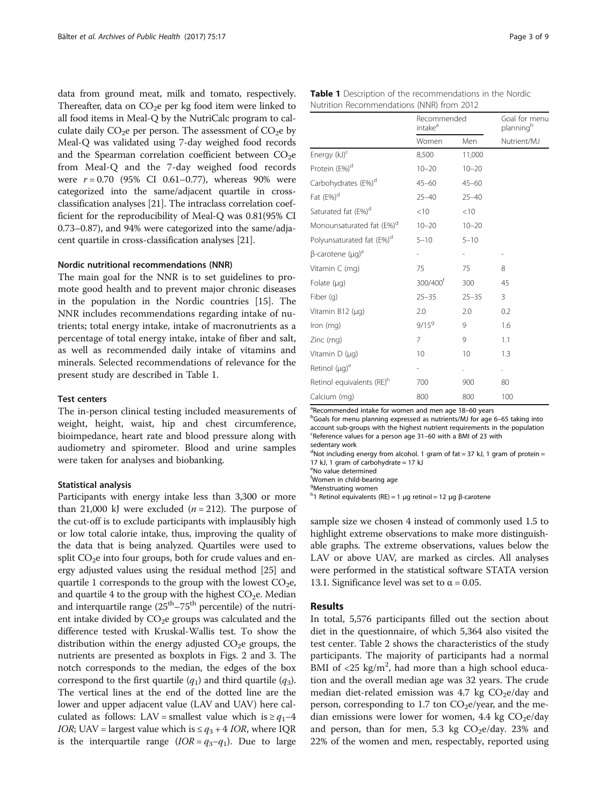<span id="page-2-0"></span>data from ground meat, milk and tomato, respectively. Thereafter, data on  $CO<sub>2</sub>e$  per kg food item were linked to all food items in Meal-Q by the NutriCalc program to calculate daily  $CO<sub>2</sub>e$  per person. The assessment of  $CO<sub>2</sub>e$  by Meal-Q was validated using 7-day weighed food records and the Spearman correlation coefficient between  $CO<sub>2</sub>e$ from Meal-Q and the 7-day weighed food records were  $r = 0.70$  (95% CI 0.61-0.77), whereas 90% were categorized into the same/adjacent quartile in crossclassification analyses [\[21\]](#page-8-0). The intraclass correlation coefficient for the reproducibility of Meal-Q was 0.81(95% CI 0.73–0.87), and 94% were categorized into the same/adjacent quartile in cross-classification analyses [[21](#page-8-0)].

## Nordic nutritional recommendations (NNR)

The main goal for the NNR is to set guidelines to promote good health and to prevent major chronic diseases in the population in the Nordic countries [\[15](#page-8-0)]. The NNR includes recommendations regarding intake of nutrients; total energy intake, intake of macronutrients as a percentage of total energy intake, intake of fiber and salt, as well as recommended daily intake of vitamins and minerals. Selected recommendations of relevance for the present study are described in Table 1.

## Test centers

The in-person clinical testing included measurements of weight, height, waist, hip and chest circumference, bioimpedance, heart rate and blood pressure along with audiometry and spirometer. Blood and urine samples were taken for analyses and biobanking.

## Statistical analysis

Participants with energy intake less than 3,300 or more than 21,000 kJ were excluded  $(n = 212)$ . The purpose of the cut-off is to exclude participants with implausibly high or low total calorie intake, thus, improving the quality of the data that is being analyzed. Quartiles were used to split  $CO<sub>2</sub>e$  into four groups, both for crude values and energy adjusted values using the residual method [[25](#page-8-0)] and quartile 1 corresponds to the group with the lowest  $CO<sub>2</sub>e$ , and quartile 4 to the group with the highest  $CO<sub>2</sub>e$ . Median and interquartile range  $(25<sup>th</sup> - 75<sup>th</sup>$  percentile) of the nutrient intake divided by  $CO<sub>2</sub>e$  groups was calculated and the difference tested with Kruskal-Wallis test. To show the distribution within the energy adjusted  $CO<sub>2</sub>e$  groups, the nutrients are presented as boxplots in Figs. [2](#page-5-0) and [3.](#page-6-0) The notch corresponds to the median, the edges of the box correspond to the first quartile  $(q_1)$  and third quartile  $(q_3)$ . The vertical lines at the end of the dotted line are the lower and upper adjacent value (LAV and UAV) here calculated as follows: LAV = smallest value which is  $\geq q_1-4$ *IOR*; UAV = largest value which is  $\leq q_3 + 4$  *IOR*, where IQR is the interquartile range ( $IOR = q_3 - q_1$ ). Due to large

| Table 1 Description of the recommendations in the Nordic |  |  |  |  |
|----------------------------------------------------------|--|--|--|--|
| Nutrition Recommendations (NNR) from 2012                |  |  |  |  |

|                                       | Recommended<br>intake <sup>a</sup> |           | Goal for menu<br>planning <sup>b</sup> |  |
|---------------------------------------|------------------------------------|-----------|----------------------------------------|--|
|                                       | Women                              | Men       | Nutrient/MJ                            |  |
| Energy (kJ) <sup>c</sup>              | 8,500                              | 11,000    |                                        |  |
| Protein (E%) <sup>d</sup>             | $10 - 20$                          | $10 - 20$ |                                        |  |
| Carbohydrates (E%) <sup>d</sup>       | $45 - 60$                          | $45 - 60$ |                                        |  |
| Fat (E%) <sup>d</sup>                 | $25 - 40$                          | $25 - 40$ |                                        |  |
| Saturated fat (E%) <sup>d</sup>       | < 10                               | < 10      |                                        |  |
| Monounsaturated fat (E%) <sup>d</sup> | $10 - 20$                          | $10 - 20$ |                                        |  |
| Polyunsaturated fat (E%) <sup>d</sup> | $5 - 10$                           | $5 - 10$  |                                        |  |
| β-carotene (μg) <sup>e</sup>          |                                    |           |                                        |  |
| Vitamin C (mg)                        | 75                                 | 75        | 8                                      |  |
| Folate (µg)                           | 300/400 <sup>f</sup>               | 300       | 45                                     |  |
| Fiber (g)                             | $25 - 35$                          | $25 - 35$ | 3                                      |  |
| Vitamin B12 (µg)                      | 2.0                                | 2.0       | 0.2                                    |  |
| Iron (mg)                             | $9/15^9$                           | 9         | 1.6                                    |  |
| Zinc (mg)                             | 7                                  | 9         | 1.1                                    |  |
| Vitamin D (µg)                        | 10                                 | 10        | 1.3                                    |  |
| Retinol (µg) <sup>e</sup>             |                                    |           |                                        |  |
| Retinol equivalents (RE) <sup>h</sup> | 700                                | 900       | 80                                     |  |
| Calcium (mg)                          | 800                                | 800       | 100                                    |  |

<sup>a</sup> Recommended intake for women and men age 18–60 years  $\frac{b}{c}$  calculation  $\frac{c}{c}$ 

<sup>b</sup>Goals for menu planning expressed as nutrients/MJ for age 6-65 taking into account sub-groups with the highest nutrient requirements in the population c Reference values for a person age 31–60 with a BMI of 23 with sedentary work

<sup>d</sup>Not including energy from alcohol. 1 gram of fat = 37 kJ, 1 gram of protein = 17 kJ, 1 gram of carbohydrate =  $17$  kJ

e No value determined

f Women in child-bearing age

<sup>g</sup>Menstruating women

<sup>h</sup>1 Retinol equivalents (RE) = 1 μg retinol = 12 μg β-carotene

sample size we chosen 4 instead of commonly used 1.5 to highlight extreme observations to make more distinguishable graphs. The extreme observations, values below the LAV or above UAV, are marked as circles. All analyses were performed in the statistical software STATA version 13.1. Significance level was set to  $\alpha$  = 0.05.

## Results

In total, 5,576 participants filled out the section about diet in the questionnaire, of which 5,364 also visited the test center. Table [2](#page-3-0) shows the characteristics of the study participants. The majority of participants had a normal BMI of  $\langle 25 \text{ kg/m}^2$ , had more than a high school education and the overall median age was 32 years. The crude median diet-related emission was 4.7 kg  $CO<sub>2</sub>e/day$  and person, corresponding to 1.7 ton  $CO<sub>2</sub>e/year$ , and the median emissions were lower for women, 4.4 kg  $CO<sub>2</sub>e/day$ and person, than for men, 5.3 kg  $CO<sub>2</sub>e/day$ . 23% and 22% of the women and men, respectably, reported using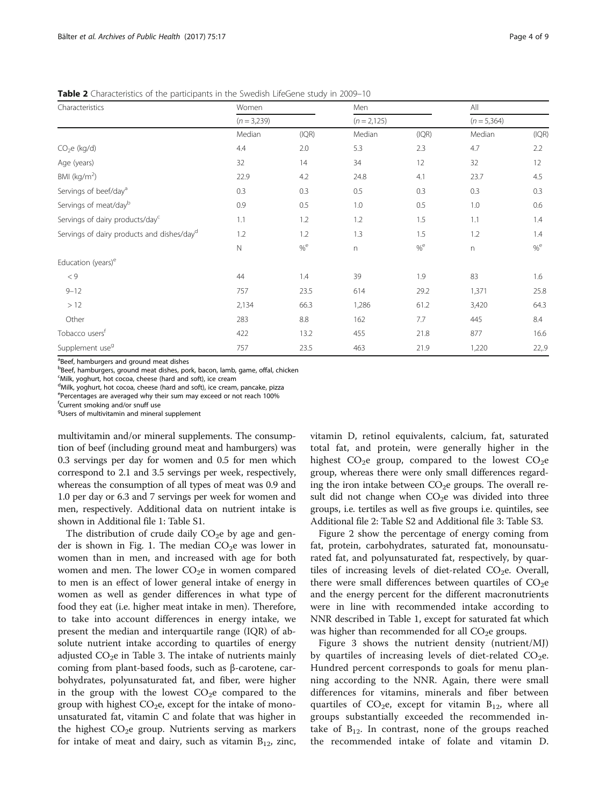| Characteristics                                        | Women<br>$(n = 3,239)$ |       | Men<br>$(n = 2, 125)$ |       | All<br>$(n = 5,364)$ |       |
|--------------------------------------------------------|------------------------|-------|-----------------------|-------|----------------------|-------|
|                                                        |                        |       |                       |       |                      |       |
|                                                        | Median                 | (IQR) | Median                | (IQR) | Median               | (IQR) |
| CO <sub>2</sub> e (kg/d)                               | 4.4                    | 2.0   | 5.3                   | 2.3   | 4.7                  | 2.2   |
| Age (years)                                            | 32                     | 14    | 34                    | 12    | 32                   | 12    |
| BMI ( $kg/m2$ )                                        | 22.9                   | 4.2   | 24.8                  | 4.1   | 23.7                 | 4.5   |
| Servings of beef/day <sup>a</sup>                      | 0.3                    | 0.3   | 0.5                   | 0.3   | 0.3                  | 0.3   |
| Servings of meat/dayb                                  | 0.9                    | 0.5   | 1.0                   | 0.5   | 1.0                  | 0.6   |
| Servings of dairy products/day <sup>c</sup>            | 1.1                    | 1.2   | 1.2                   | 1.5   | 1.1                  | 1.4   |
| Servings of dairy products and dishes/day <sup>d</sup> | 1.2                    | 1.2   | 1.3                   | 1.5   | 1.2                  | 1.4   |
|                                                        | $\mathsf{N}$           | %     | $\mathsf{n}$          | %     | $\mathsf{n}$         | %     |
| Education (years) <sup>e</sup>                         |                        |       |                       |       |                      |       |
| $< 9$                                                  | 44                     | 1.4   | 39                    | 1.9   | 83                   | 1.6   |
| $9 - 12$                                               | 757                    | 23.5  | 614                   | 29.2  | 1,371                | 25.8  |
| >12                                                    | 2,134                  | 66.3  | 1,286                 | 61.2  | 3,420                | 64.3  |
| Other                                                  | 283                    | 8.8   | 162                   | 7.7   | 445                  | 8.4   |
| Tobacco users <sup>t</sup>                             | 422                    | 13.2  | 455                   | 21.8  | 877                  | 16.6  |
| Supplement use <sup>9</sup>                            | 757                    | 23.5  | 463                   | 21.9  | 1,220                | 22,9  |

<span id="page-3-0"></span>Table 2 Characteristics of the participants in the Swedish LifeGene study in 2009–10

<sup>a</sup>Beef, hamburgers and ground meat dishes

<sup>b</sup>Beef, hamburgers, ground meat dishes, pork, bacon, lamb, game, offal, chicken

<sup>c</sup>Milk, yoghurt, hot cocoa, cheese (hard and soft), ice cream

dMilk, yoghurt, hot cocoa, cheese (hard and soft), ice cream, pancake, pizza

e<br>Percentages are averaged why their sum may exceed or not reach 100% f Current smoking and/or snuff use

g Users of multivitamin and mineral supplement

multivitamin and/or mineral supplements. The consumption of beef (including ground meat and hamburgers) was 0.3 servings per day for women and 0.5 for men which correspond to 2.1 and 3.5 servings per week, respectively, whereas the consumption of all types of meat was 0.9 and 1.0 per day or 6.3 and 7 servings per week for women and men, respectively. Additional data on nutrient intake is shown in Additional file [1](#page-7-0): Table S1.

The distribution of crude daily  $CO<sub>2</sub>e$  by age and gen-der is shown in Fig. [1](#page-4-0). The median  $CO<sub>2</sub>e$  was lower in women than in men, and increased with age for both women and men. The lower  $CO<sub>2</sub>e$  in women compared to men is an effect of lower general intake of energy in women as well as gender differences in what type of food they eat (i.e. higher meat intake in men). Therefore, to take into account differences in energy intake, we present the median and interquartile range (IQR) of absolute nutrient intake according to quartiles of energy adjusted  $CO<sub>2</sub>e$  in Table [3.](#page-4-0) The intake of nutrients mainly coming from plant-based foods, such as β-carotene, carbohydrates, polyunsaturated fat, and fiber, were higher in the group with the lowest  $CO<sub>2</sub>e$  compared to the group with highest  $CO<sub>2</sub>e$ , except for the intake of monounsaturated fat, vitamin C and folate that was higher in the highest  $CO<sub>2</sub>e$  group. Nutrients serving as markers for intake of meat and dairy, such as vitamin  $B_{12}$ , zinc,

vitamin D, retinol equivalents, calcium, fat, saturated total fat, and protein, were generally higher in the highest  $CO<sub>2</sub>e$  group, compared to the lowest  $CO<sub>2</sub>e$ group, whereas there were only small differences regarding the iron intake between  $CO<sub>2</sub>e$  groups. The overall result did not change when  $CO<sub>2</sub>e$  was divided into three groups, i.e. tertiles as well as five groups i.e. quintiles, see Additional file [2](#page-7-0): Table S2 and Additional file [3](#page-7-0): Table S3.

Figure [2](#page-5-0) show the percentage of energy coming from fat, protein, carbohydrates, saturated fat, monounsaturated fat, and polyunsaturated fat, respectively, by quartiles of increasing levels of diet-related  $CO<sub>2</sub>e$ . Overall, there were small differences between quartiles of  $CO<sub>2</sub>e$ and the energy percent for the different macronutrients were in line with recommended intake according to NNR described in Table [1](#page-2-0), except for saturated fat which was higher than recommended for all  $CO<sub>2</sub>e$  groups.

Figure [3](#page-6-0) shows the nutrient density (nutrient/MJ) by quartiles of increasing levels of diet-related  $CO<sub>2</sub>e$ . Hundred percent corresponds to goals for menu planning according to the NNR. Again, there were small differences for vitamins, minerals and fiber between quartiles of  $CO<sub>2</sub>e$ , except for vitamin  $B<sub>12</sub>$ , where all groups substantially exceeded the recommended intake of  $B_{12}$ . In contrast, none of the groups reached the recommended intake of folate and vitamin D.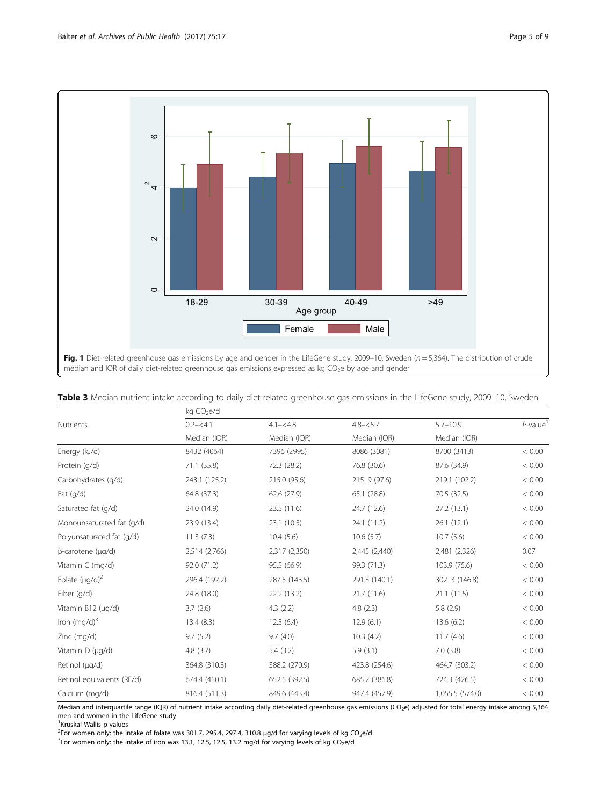<span id="page-4-0"></span>

|  | Table 3 Median nutrient intake according to daily diet-related greenhouse gas emissions in the LifeGene study, 2009-10, Sweden |
|--|--------------------------------------------------------------------------------------------------------------------------------|
|  |                                                                                                                                |

|                                | kg CO <sub>2</sub> e/d |               |               |                 |                         |  |  |
|--------------------------------|------------------------|---------------|---------------|-----------------|-------------------------|--|--|
| <b>Nutrients</b>               | $0.2 - 54.1$           | $4.1 - 4.8$   | $4.8 - 5.7$   | $5.7 - 10.9$    | $P$ -value <sup>1</sup> |  |  |
|                                | Median (IQR)           | Median (IQR)  | Median (IQR)  | Median (IQR)    |                         |  |  |
| Energy (kJ/d)                  | 8432 (4064)            | 7396 (2995)   | 8086 (3081)   | 8700 (3413)     | < 0.00                  |  |  |
| Protein (q/d)                  | 71.1 (35.8)            | 72.3 (28.2)   | 76.8 (30.6)   | 87.6 (34.9)     | < 0.00                  |  |  |
| Carbohydrates (g/d)            | 243.1 (125.2)          | 215.0 (95.6)  | 215.9 (97.6)  | 219.1 (102.2)   | < 0.00                  |  |  |
| Fat $(q/d)$                    | 64.8 (37.3)            | 62.6 (27.9)   | 65.1(28.8)    | 70.5 (32.5)     | < 0.00                  |  |  |
| Saturated fat (g/d)            | 24.0 (14.9)            | 23.5 (11.6)   | 24.7 (12.6)   | 27.2 (13.1)     | < 0.00                  |  |  |
| Monounsaturated fat (g/d)      | 23.9 (13.4)            | 23.1 (10.5)   | 24.1 (11.2)   | 26.1(12.1)      | < 0.00                  |  |  |
| Polyunsaturated fat (g/d)      | 11.3(7.3)              | 10.4(5.6)     | 10.6(5.7)     | 10.7(5.6)       | < 0.00                  |  |  |
| $\beta$ -carotene ( $\mu$ g/d) | 2,514 (2,766)          | 2,317 (2,350) | 2,445 (2,440) | 2,481 (2,326)   | 0.07                    |  |  |
| Vitamin C (mg/d)               | 92.0 (71.2)            | 95.5 (66.9)   | 99.3 (71.3)   | 103.9 (75.6)    | < 0.00                  |  |  |
| Folate $(\mu q/d)^2$           | 296.4 (192.2)          | 287.5 (143.5) | 291.3 (140.1) | 302. 3 (146.8)  | < 0.00                  |  |  |
| Fiber (g/d)                    | 24.8 (18.0)            | 22.2(13.2)    | 21.7(11.6)    | 21.1(11.5)      | < 0.00                  |  |  |
| Vitamin B12 (µg/d)             | 3.7(2.6)               | 4.3(2.2)      | 4.8(2.3)      | 5.8(2.9)        | < 0.00                  |  |  |
| Iron $(mg/d)^3$                | 13.4(8.3)              | 12.5(6.4)     | 12.9(6.1)     | 13.6 (6.2)      | < 0.00                  |  |  |
| Zinc (mg/d)                    | 9.7(5.2)               | 9.7(4.0)      | 10.3(4.2)     | 11.7(4.6)       | < 0.00                  |  |  |
| Vitamin $D(\mu q/d)$           | 4.8(3.7)               | 5.4(3.2)      | 5.9(3.1)      | 7.0(3.8)        | < 0.00                  |  |  |
| Retinol (µg/d)                 | 364.8 (310.3)          | 388.2 (270.9) | 423.8 (254.6) | 464.7 (303.2)   | < 0.00                  |  |  |
| Retinol equivalents (RE/d)     | 674.4 (450.1)          | 652.5 (392.5) | 685.2 (386.8) | 724.3 (426.5)   | < 0.00                  |  |  |
| Calcium (mg/d)                 | 816.4 (511.3)          | 849.6 (443.4) | 947.4 (457.9) | 1,055.5 (574.0) | < 0.00                  |  |  |

Median and interquartile range (IQR) of nutrient intake according daily diet-related greenhouse gas emissions (CO2e) adjusted for total energy intake among 5,364 men and women in the LifeGene study

<sup>1</sup>Kruskal-Wallis p-values

<sup>2</sup> For women only: the intake of folate was 301.7, 295.4, 297.4, 310.8 µg/d for varying levels of kg CO<sub>2</sub>e/d<br><sup>3</sup> For women only: the intake of iron was 13.1, 12.5, 12.5, 13.2 mg/d for varying levels of kg CO<sub>-8</sub>/d

<sup>3</sup>For women only: the intake of iron was 13.1, 12.5, 12.5, 13.2 mg/d for varying levels of kg CO<sub>2</sub>e/d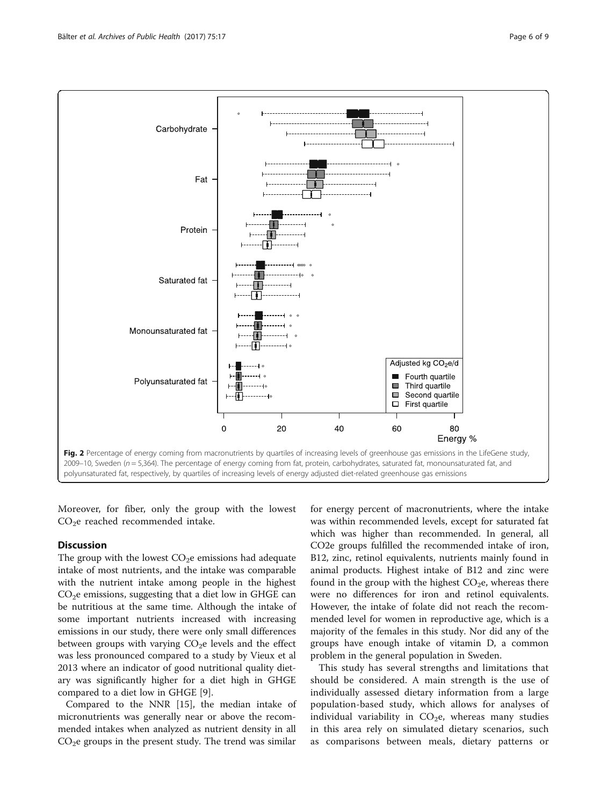<span id="page-5-0"></span>

Moreover, for fiber, only the group with the lowest  $CO<sub>2</sub>e$  reached recommended intake.

## **Discussion**

The group with the lowest  $CO<sub>2</sub>e$  emissions had adequate intake of most nutrients, and the intake was comparable with the nutrient intake among people in the highest  $CO<sub>2</sub>e$  emissions, suggesting that a diet low in GHGE can be nutritious at the same time. Although the intake of some important nutrients increased with increasing emissions in our study, there were only small differences between groups with varying  $CO<sub>2</sub>e$  levels and the effect was less pronounced compared to a study by Vieux et al 2013 where an indicator of good nutritional quality dietary was significantly higher for a diet high in GHGE compared to a diet low in GHGE [\[9](#page-8-0)].

Compared to the NNR [\[15\]](#page-8-0), the median intake of micronutrients was generally near or above the recommended intakes when analyzed as nutrient density in all  $CO<sub>2</sub>e$  groups in the present study. The trend was similar

for energy percent of macronutrients, where the intake was within recommended levels, except for saturated fat which was higher than recommended. In general, all CO2e groups fulfilled the recommended intake of iron, B12, zinc, retinol equivalents, nutrients mainly found in animal products. Highest intake of B12 and zinc were found in the group with the highest  $CO<sub>2</sub>e$ , whereas there were no differences for iron and retinol equivalents. However, the intake of folate did not reach the recommended level for women in reproductive age, which is a majority of the females in this study. Nor did any of the groups have enough intake of vitamin D, a common problem in the general population in Sweden.

This study has several strengths and limitations that should be considered. A main strength is the use of individually assessed dietary information from a large population-based study, which allows for analyses of individual variability in  $CO<sub>2</sub>e$ , whereas many studies in this area rely on simulated dietary scenarios, such as comparisons between meals, dietary patterns or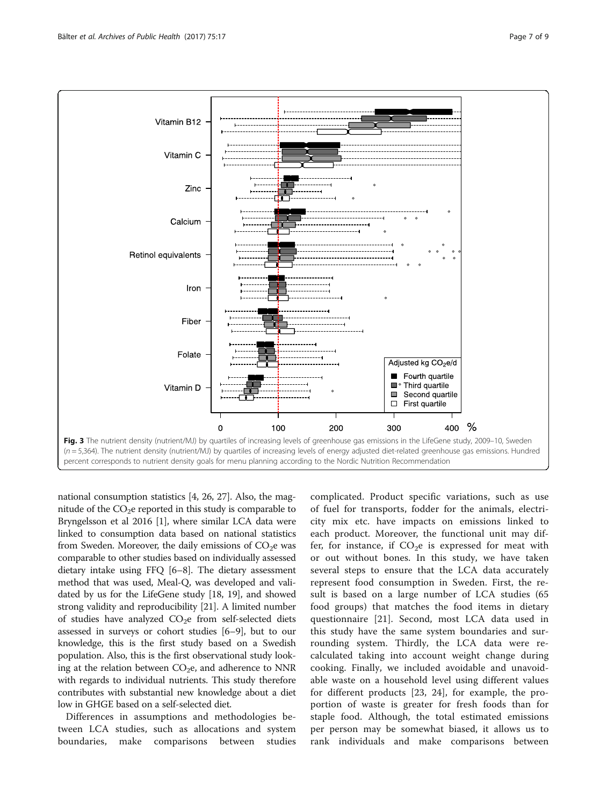<span id="page-6-0"></span>

national consumption statistics [\[4](#page-7-0), [26, 27\]](#page-8-0). Also, the magnitude of the  $CO<sub>2</sub>e$  reported in this study is comparable to Bryngelsson et al 2016 [\[1\]](#page-7-0), where similar LCA data were linked to consumption data based on national statistics from Sweden. Moreover, the daily emissions of  $CO<sub>2</sub>e$  was comparable to other studies based on individually assessed dietary intake using FFQ [[6](#page-7-0)–[8](#page-8-0)]. The dietary assessment method that was used, Meal-Q, was developed and validated by us for the LifeGene study [[18](#page-8-0), [19\]](#page-8-0), and showed strong validity and reproducibility [[21](#page-8-0)]. A limited number of studies have analyzed  $CO<sub>2</sub>e$  from self-selected diets assessed in surveys or cohort studies [[6](#page-7-0)–[9](#page-8-0)], but to our knowledge, this is the first study based on a Swedish population. Also, this is the first observational study looking at the relation between  $CO<sub>2</sub>e$ , and adherence to NNR with regards to individual nutrients. This study therefore contributes with substantial new knowledge about a diet low in GHGE based on a self-selected diet.

Differences in assumptions and methodologies between LCA studies, such as allocations and system boundaries, make comparisons between studies

complicated. Product specific variations, such as use of fuel for transports, fodder for the animals, electricity mix etc. have impacts on emissions linked to each product. Moreover, the functional unit may differ, for instance, if  $CO<sub>2</sub>e$  is expressed for meat with or out without bones. In this study, we have taken several steps to ensure that the LCA data accurately represent food consumption in Sweden. First, the result is based on a large number of LCA studies (65 food groups) that matches the food items in dietary questionnaire [\[21](#page-8-0)]. Second, most LCA data used in this study have the same system boundaries and surrounding system. Thirdly, the LCA data were recalculated taking into account weight change during cooking. Finally, we included avoidable and unavoidable waste on a household level using different values for different products [[23, 24\]](#page-8-0), for example, the proportion of waste is greater for fresh foods than for staple food. Although, the total estimated emissions per person may be somewhat biased, it allows us to rank individuals and make comparisons between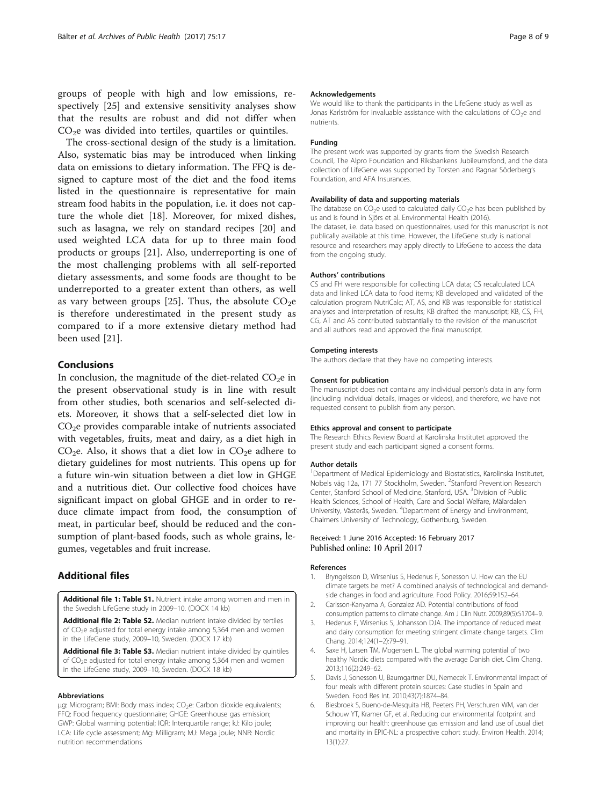<span id="page-7-0"></span>groups of people with high and low emissions, respectively [[25\]](#page-8-0) and extensive sensitivity analyses show that the results are robust and did not differ when  $CO<sub>2</sub>e$  was divided into tertiles, quartiles or quintiles.

The cross-sectional design of the study is a limitation. Also, systematic bias may be introduced when linking data on emissions to dietary information. The FFQ is designed to capture most of the diet and the food items listed in the questionnaire is representative for main stream food habits in the population, i.e. it does not capture the whole diet [\[18](#page-8-0)]. Moreover, for mixed dishes, such as lasagna, we rely on standard recipes [[20\]](#page-8-0) and used weighted LCA data for up to three main food products or groups [[21](#page-8-0)]. Also, underreporting is one of the most challenging problems with all self-reported dietary assessments, and some foods are thought to be underreported to a greater extent than others, as well as vary between groups [[25\]](#page-8-0). Thus, the absolute  $CO<sub>2</sub>e$ is therefore underestimated in the present study as compared to if a more extensive dietary method had been used [[21\]](#page-8-0).

## Conclusions

In conclusion, the magnitude of the diet-related  $CO<sub>2</sub>e$  in the present observational study is in line with result from other studies, both scenarios and self-selected diets. Moreover, it shows that a self-selected diet low in  $CO<sub>2</sub>e$  provides comparable intake of nutrients associated with vegetables, fruits, meat and dairy, as a diet high in  $CO<sub>2</sub>e$ . Also, it shows that a diet low in  $CO<sub>2</sub>e$  adhere to dietary guidelines for most nutrients. This opens up for a future win-win situation between a diet low in GHGE and a nutritious diet. Our collective food choices have significant impact on global GHGE and in order to reduce climate impact from food, the consumption of meat, in particular beef, should be reduced and the consumption of plant-based foods, such as whole grains, legumes, vegetables and fruit increase.

## Additional files

[Additional file 1: Table S1.](dx.doi.org/10.1186/s13690-017-0185-9) Nutrient intake among women and men in the Swedish LifeGene study in 2009–10. (DOCX 14 kb)

[Additional file 2: Table S2.](dx.doi.org/10.1186/s13690-017-0185-9) Median nutrient intake divided by tertiles of CO<sub>2</sub>e adjusted for total energy intake among 5,364 men and women in the LifeGene study, 2009–10, Sweden. (DOCX 17 kb)

[Additional file 3: Table S3.](dx.doi.org/10.1186/s13690-017-0185-9) Median nutrient intake divided by quintiles of CO2e adjusted for total energy intake among 5,364 men and women in the LifeGene study, 2009–10, Sweden. (DOCX 18 kb)

#### Abbreviations

μg: Microgram; BMI: Body mass index; CO<sub>2</sub>e: Carbon dioxide equivalents; FFQ: Food frequency questionnaire; GHGE: Greenhouse gas emission; GWP: Global warming potential; IQR: Interquartile range; kJ: Kilo joule; LCA: Life cycle assessment; Mg: Milligram; MJ: Mega joule; NNR: Nordic nutrition recommendations

#### Acknowledgements

We would like to thank the participants in the LifeGene study as well as Jonas Karlström for invaluable assistance with the calculations of CO<sub>2</sub>e and nutrients.

## Funding

The present work was supported by grants from the Swedish Research Council, The Alpro Foundation and Riksbankens Jubileumsfond, and the data collection of LifeGene was supported by Torsten and Ragnar Söderberg's Foundation, and AFA Insurances.

#### Availability of data and supporting materials

The database on  $CO<sub>2</sub>e$  used to calculated daily  $CO<sub>2</sub>e$  has been published by us and is found in Sjörs et al. Environmental Health (2016). The dataset, i.e. data based on questionnaires, used for this manuscript is not publically available at this time. However, the LifeGene study is national resource and researchers may apply directly to LifeGene to access the data from the ongoing study.

#### Authors' contributions

CS and FH were responsible for collecting LCA data; CS recalculated LCA data and linked LCA data to food items; KB developed and validated of the calculation program NutriCalc; AT, AS, and KB was responsible for statistical analyses and interpretation of results; KB drafted the manuscript; KB, CS, FH, CG, AT and AS contributed substantially to the revision of the manuscript and all authors read and approved the final manuscript.

#### Competing interests

The authors declare that they have no competing interests.

#### Consent for publication

The manuscript does not contains any individual person's data in any form (including individual details, images or videos), and therefore, we have not requested consent to publish from any person.

#### Ethics approval and consent to participate

The Research Ethics Review Board at Karolinska Institutet approved the present study and each participant signed a consent forms.

#### Author details

<sup>1</sup>Department of Medical Epidemiology and Biostatistics, Karolinska Institutet, Nobels väg 12a, 171 77 Stockholm, Sweden. <sup>2</sup>Stanford Prevention Research Center, Stanford School of Medicine, Stanford, USA. <sup>3</sup>Division of Public Health Sciences, School of Health, Care and Social Welfare, Mälardalen University, Västerås, Sweden. <sup>4</sup>Department of Energy and Environment, Chalmers University of Technology, Gothenburg, Sweden.

#### Received: 1 June 2016 Accepted: 16 February 2017 Published online: 10 April 2017

#### References

- Bryngelsson D, Wirsenius S, Hedenus F, Sonesson U. How can the EU climate targets be met? A combined analysis of technological and demandside changes in food and agriculture. Food Policy. 2016;59:152–64.
- 2. Carlsson-Kanyama A, Gonzalez AD. Potential contributions of food consumption patterns to climate change. Am J Clin Nutr. 2009;89(5):S1704–9.
- 3. Hedenus F, Wirsenius S, Johansson DJA. The importance of reduced meat and dairy consumption for meeting stringent climate change targets. Clim Chang. 2014;124(1–2):79–91.
- 4. Saxe H, Larsen TM, Mogensen L. The global warming potential of two healthy Nordic diets compared with the average Danish diet. Clim Chang. 2013;116(2):249–62.
- 5. Davis J, Sonesson U, Baumgartner DU, Nemecek T. Environmental impact of four meals with different protein sources: Case studies in Spain and Sweden. Food Res Int. 2010;43(7):1874–84.
- 6. Biesbroek S, Bueno-de-Mesquita HB, Peeters PH, Verschuren WM, van der Schouw YT, Kramer GF, et al. Reducing our environmental footprint and improving our health: greenhouse gas emission and land use of usual diet and mortality in EPIC-NL: a prospective cohort study. Environ Health. 2014; 13(1):27.